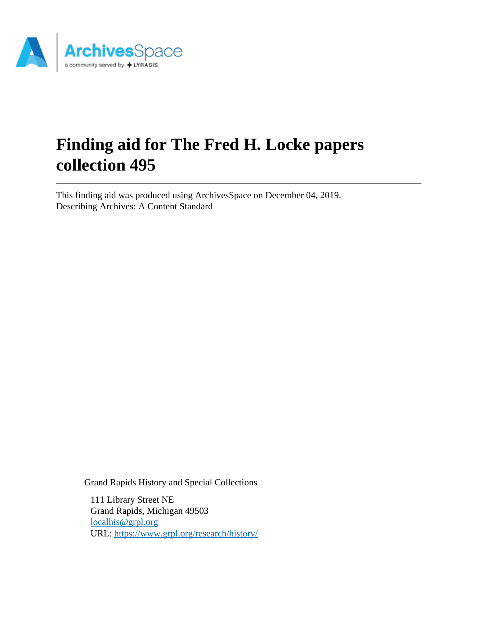

# **Finding aid for The Fred H. Locke papers collection 495**

This finding aid was produced using ArchivesSpace on December 04, 2019. Describing Archives: A Content Standard

Grand Rapids History and Special Collections

111 Library Street NE Grand Rapids, Michigan 49503 [localhis@grpl.org](mailto:localhis@grpl.org) URL:<https://www.grpl.org/research/history/>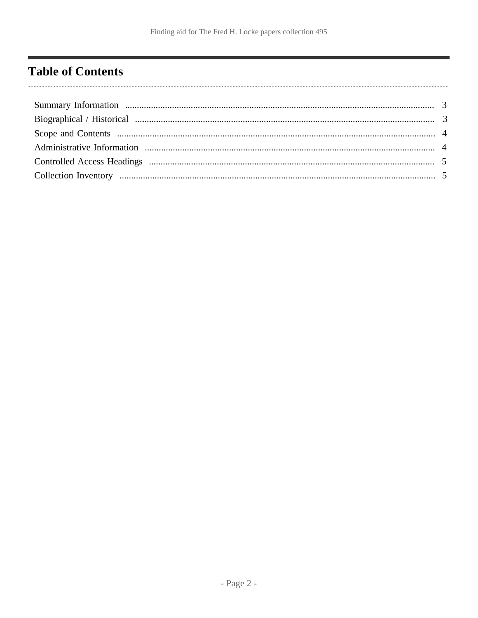# <span id="page-1-0"></span>**Table of Contents**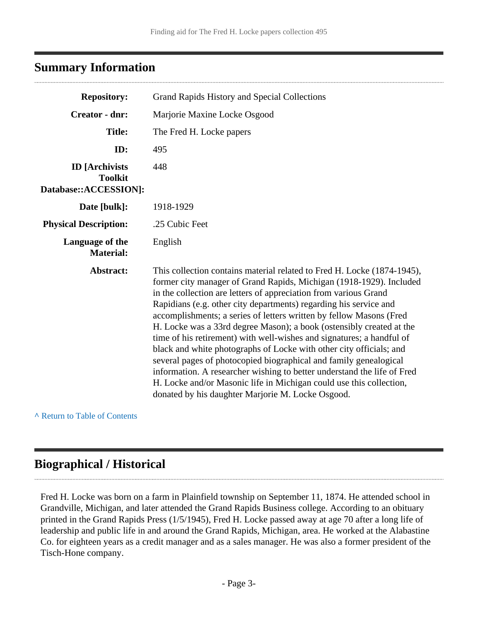### <span id="page-2-0"></span>**Summary Information**

| <b>Repository:</b>                                               | Grand Rapids History and Special Collections                                                                                                                                                                                                                                                                                                                                                                                                                                                                                                                                                                                                                                                                                                                                                                                                                       |  |  |
|------------------------------------------------------------------|--------------------------------------------------------------------------------------------------------------------------------------------------------------------------------------------------------------------------------------------------------------------------------------------------------------------------------------------------------------------------------------------------------------------------------------------------------------------------------------------------------------------------------------------------------------------------------------------------------------------------------------------------------------------------------------------------------------------------------------------------------------------------------------------------------------------------------------------------------------------|--|--|
| <b>Creator - dnr:</b>                                            | Marjorie Maxine Locke Osgood                                                                                                                                                                                                                                                                                                                                                                                                                                                                                                                                                                                                                                                                                                                                                                                                                                       |  |  |
| <b>Title:</b>                                                    | The Fred H. Locke papers                                                                                                                                                                                                                                                                                                                                                                                                                                                                                                                                                                                                                                                                                                                                                                                                                                           |  |  |
| ID:                                                              | 495                                                                                                                                                                                                                                                                                                                                                                                                                                                                                                                                                                                                                                                                                                                                                                                                                                                                |  |  |
| <b>ID</b> [Archivists<br><b>Toolkit</b><br>Database::ACCESSION]: | 448                                                                                                                                                                                                                                                                                                                                                                                                                                                                                                                                                                                                                                                                                                                                                                                                                                                                |  |  |
| Date [bulk]:                                                     | 1918-1929                                                                                                                                                                                                                                                                                                                                                                                                                                                                                                                                                                                                                                                                                                                                                                                                                                                          |  |  |
| <b>Physical Description:</b>                                     | .25 Cubic Feet                                                                                                                                                                                                                                                                                                                                                                                                                                                                                                                                                                                                                                                                                                                                                                                                                                                     |  |  |
| Language of the<br><b>Material:</b>                              | English                                                                                                                                                                                                                                                                                                                                                                                                                                                                                                                                                                                                                                                                                                                                                                                                                                                            |  |  |
| Abstract:                                                        | This collection contains material related to Fred H. Locke (1874-1945),<br>former city manager of Grand Rapids, Michigan (1918-1929). Included<br>in the collection are letters of appreciation from various Grand<br>Rapidians (e.g. other city departments) regarding his service and<br>accomplishments; a series of letters written by fellow Masons (Fred<br>H. Locke was a 33rd degree Mason); a book (ostensibly created at the<br>time of his retirement) with well-wishes and signatures; a handful of<br>black and white photographs of Locke with other city officials; and<br>several pages of photocopied biographical and family genealogical<br>information. A researcher wishing to better understand the life of Fred<br>H. Locke and/or Masonic life in Michigan could use this collection,<br>donated by his daughter Marjorie M. Locke Osgood. |  |  |

**^** [Return to Table of Contents](#page-1-0)

# <span id="page-2-1"></span>**Biographical / Historical**

Fred H. Locke was born on a farm in Plainfield township on September 11, 1874. He attended school in Grandville, Michigan, and later attended the Grand Rapids Business college. According to an obituary printed in the Grand Rapids Press (1/5/1945), Fred H. Locke passed away at age 70 after a long life of leadership and public life in and around the Grand Rapids, Michigan, area. He worked at the Alabastine Co. for eighteen years as a credit manager and as a sales manager. He was also a former president of the Tisch-Hone company.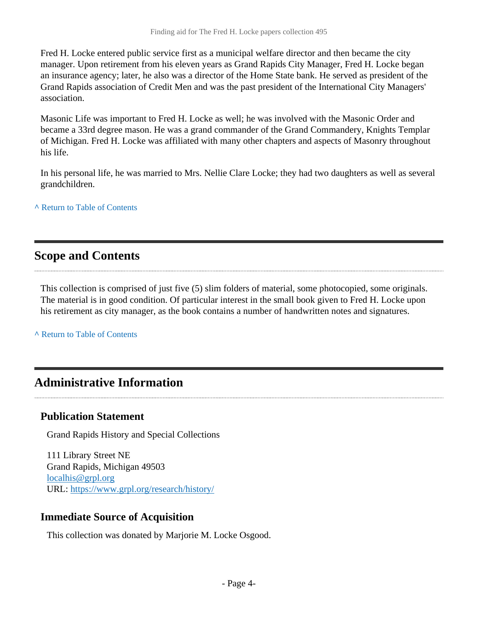Fred H. Locke entered public service first as a municipal welfare director and then became the city manager. Upon retirement from his eleven years as Grand Rapids City Manager, Fred H. Locke began an insurance agency; later, he also was a director of the Home State bank. He served as president of the Grand Rapids association of Credit Men and was the past president of the International City Managers' association.

Masonic Life was important to Fred H. Locke as well; he was involved with the Masonic Order and became a 33rd degree mason. He was a grand commander of the Grand Commandery, Knights Templar of Michigan. Fred H. Locke was affiliated with many other chapters and aspects of Masonry throughout his life.

In his personal life, he was married to Mrs. Nellie Clare Locke; they had two daughters as well as several grandchildren.

**^** [Return to Table of Contents](#page-1-0)

### <span id="page-3-0"></span>**Scope and Contents**

This collection is comprised of just five (5) slim folders of material, some photocopied, some originals. The material is in good condition. Of particular interest in the small book given to Fred H. Locke upon his retirement as city manager, as the book contains a number of handwritten notes and signatures.

**^** [Return to Table of Contents](#page-1-0)

## <span id="page-3-1"></span>**Administrative Information**

#### **Publication Statement**

Grand Rapids History and Special Collections

111 Library Street NE Grand Rapids, Michigan 49503 [localhis@grpl.org](mailto:localhis@grpl.org) URL:<https://www.grpl.org/research/history/>

#### **Immediate Source of Acquisition**

This collection was donated by Marjorie M. Locke Osgood.